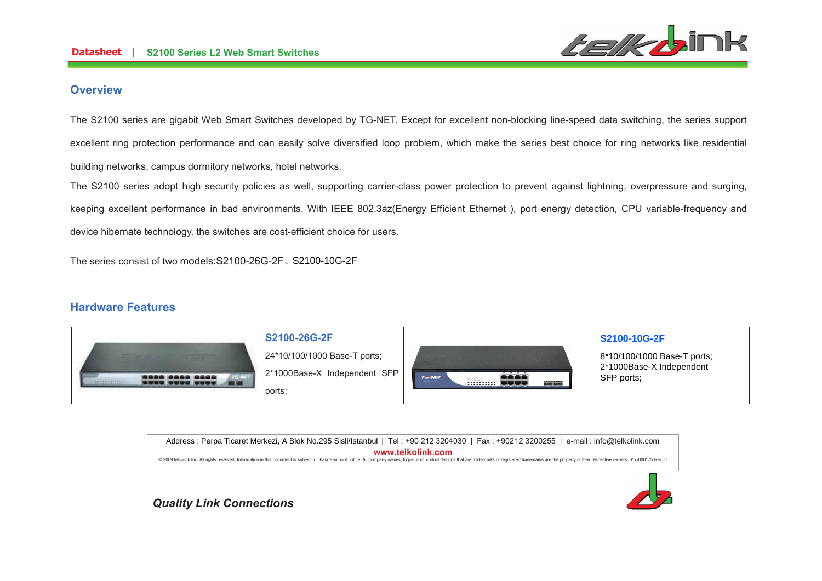

### **Overview**

The S2100 series are gigabit Web Smart Switches developed by TG-NET. Except for excellent non-blocking line-speed data switching, the series support excellent ring protection performance and can easily solve diversified loop problem, which make the series best choice for ring networks like residentialbuilding networks, campus dormitory networks, hotel networks.

The S2100 series adopt high security policies as well, supporting carrier-class power protection to prevent against lightning, overpressure and surging, keeping excellent performance in bad environments. With IEEE 802.3az(Energy Efficient Ethernet ), port energy detection, CPU variable-frequency and device hibernate technology, the switches are cost-efficient choice for users.

The series consist of two models:S2100-26G-2F、S2100-10G-2F

## **Hardware Features**

|                                                                       | S2100-26G-2F                           |                                                                                                        | S2100-10G-2F                                            |
|-----------------------------------------------------------------------|----------------------------------------|--------------------------------------------------------------------------------------------------------|---------------------------------------------------------|
| the contract of the contract of the                                   | 24*10/100/1000 Base-T ports;           |                                                                                                        | 8*10/100/1000 Base-T ports;<br>2*1000Base-X Independent |
| <b>BARA RASA RASA</b><br><b>Anna anna nana</b><br>1111111111111<br>-- | 2*1000Base-X Independent SFP<br>ports; | غفغف<br><b>TG-NET</b><br>Teles to video cracker<br>32100-100-2F<br><b>BANSY BANSY</b><br>چچچى ئىببىتىت | SFP ports:                                              |

Address : Perpa Ticaret Merkezi, A Blok No.295 Sisli/Istanbul | Tel : +90 212 3204030 | Fax : +90212 3200255 | e-mail : info@telkolink.com  $www.telkolink.com$ @ 2009 telcolink Inc. All rights reserved. Information in this document is subiect to change without notice. All company names, logos, and product designs that are trademarks or registered trademarks are the property of th

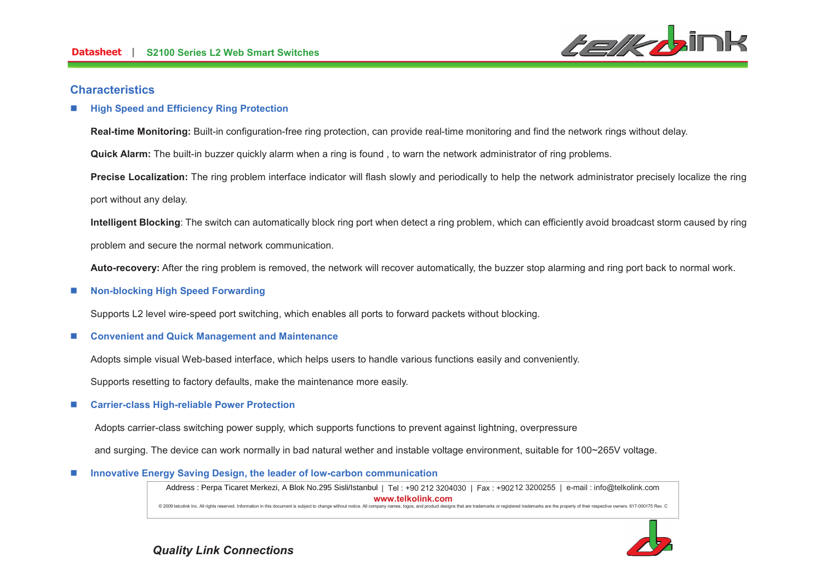

### **Characteristics**

#### n**High Speed and Efficiency Ring Protection**

**Real-time Monitoring:** Built-in configuration-free ring protection, can provide real-time monitoring and find the network rings without delay.

**Quick Alarm:** The built-in buzzer quickly alarm when a ring is found , to warn the network administrator of ring problems.

**Precise Localization:** The ring problem interface indicator will flash slowly and periodically to help the network administrator precisely localize the ring port without any delay.

**Intelligent Blocking**: The switch can automatically block ring port when detect a ring problem, which can efficiently avoid broadcast storm caused by ring problem and secure the normal network communication.

**Auto-recovery:** After the ring problem is removed, the network will recover automatically, the buzzer stop alarming and ring port back to normal work.

#### n**Non-blocking High Speed Forwarding**

Supports L2 level wire-speed port switching, which enables all ports to forward packets without blocking.

#### n**Convenient and Quick Management and Maintenance**

Adopts simple visual Web-based interface, which helps users to handle various functions easily and conveniently.

Supports resetting to factory defaults, make the maintenance more easily.

#### n**Carrier-class High-reliable Power Protection**

Adopts carrier-class switching power supply, which supports functions to prevent against lightning, overpressure

and surging. The device can work normally in bad natural wether and instable voltage environment, suitable for 100~265V voltage.

#### n**Innovative Energy Saving Design, the leader of low-carbon communication**

Address : Perpa Ticaret Merkezi, A Blok No.295 Sisli/Istanbul | Tel : +90 212 3204030 | Fax : +90212 3200255 | e-mail : info@telkolink.com  $www.telkolink.com$ @ 2009 telcolink Inc. All rights reserved. Information in this document is subiect to change without notice. All company names, logos, and product designs that are trademarks or registered trademarks are the property of th

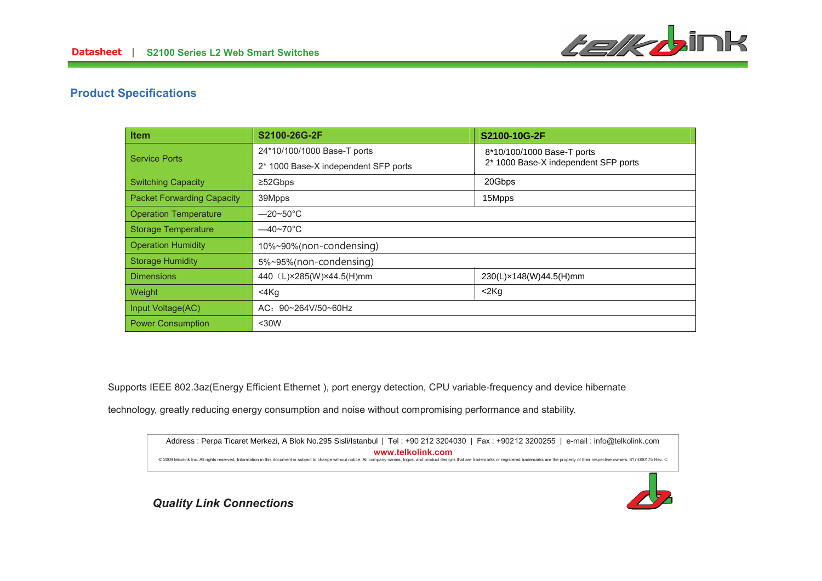

# **Product Specifications**

| Item                              | S2100-26G-2F                         | S2100-10G-2F                         |
|-----------------------------------|--------------------------------------|--------------------------------------|
| <b>Service Ports</b>              | 24*10/100/1000 Base-T ports          | 8*10/100/1000 Base-T ports           |
|                                   | 2* 1000 Base-X independent SFP ports | 2* 1000 Base-X independent SFP ports |
| <b>Switching Capacity</b>         | $\geq$ 52Gbps                        | 20Gbps                               |
| <b>Packet Forwarding Capacity</b> | 39Mpps                               | 15Mpps                               |
| <b>Operation Temperature</b>      | $-20 - 50^{\circ}$ C                 |                                      |
| <b>Storage Temperature</b>        | $-40 \times 70^{\circ}$ C            |                                      |
| <b>Operation Humidity</b>         | 10%~90%(non-condensing)              |                                      |
| <b>Storage Humidity</b>           | 5%~95%(non-condensing)               |                                      |
| <b>Dimensions</b>                 | 440 (L)×285(W)×44.5(H)mm             | 230(L)×148(W)44.5(H)mm               |
| Weight                            | $<$ 4 $Kg$                           | $<$ 2 $Kg$                           |
| Input Voltage(AC)                 | AC: 90~264V/50~60Hz                  |                                      |
| <b>Power Consumption</b>          | $30W$                                |                                      |

Supports IEEE 802.3az(Energy Efficient Ethernet ), port energy detection, CPU variable-frequency and device hibernate

technology, greatly reducing energy consumption and noise without compromising performance and stability.



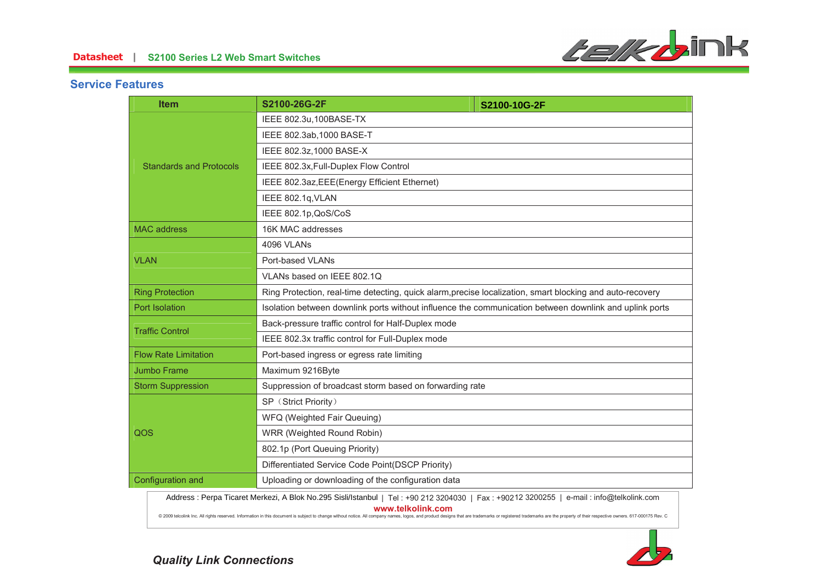

# **Service Features**

|                                | <b>Item</b>                                                                                                                                                                                                                                         | S2100-26G-2F                                                                                              | S2100-10G-2F |  |
|--------------------------------|-----------------------------------------------------------------------------------------------------------------------------------------------------------------------------------------------------------------------------------------------------|-----------------------------------------------------------------------------------------------------------|--------------|--|
| <b>Standards and Protocols</b> | IEEE 802.3u, 100BASE-TX                                                                                                                                                                                                                             |                                                                                                           |              |  |
|                                | IEEE 802.3ab, 1000 BASE-T                                                                                                                                                                                                                           |                                                                                                           |              |  |
|                                | IEEE 802.3z, 1000 BASE-X                                                                                                                                                                                                                            |                                                                                                           |              |  |
|                                | IEEE 802.3x, Full-Duplex Flow Control                                                                                                                                                                                                               |                                                                                                           |              |  |
|                                | IEEE 802.3az, EEE(Energy Efficient Ethernet)                                                                                                                                                                                                        |                                                                                                           |              |  |
|                                |                                                                                                                                                                                                                                                     | IEEE 802.1q, VLAN                                                                                         |              |  |
|                                | IEEE 802.1p, QoS/CoS                                                                                                                                                                                                                                |                                                                                                           |              |  |
|                                | <b>MAC</b> address                                                                                                                                                                                                                                  | 16K MAC addresses                                                                                         |              |  |
| <b>VLAN</b>                    | 4096 VLANs                                                                                                                                                                                                                                          |                                                                                                           |              |  |
|                                | Port-based VLANs                                                                                                                                                                                                                                    |                                                                                                           |              |  |
|                                | VLANs based on IEEE 802.1Q                                                                                                                                                                                                                          |                                                                                                           |              |  |
|                                | <b>Ring Protection</b>                                                                                                                                                                                                                              | Ring Protection, real-time detecting, quick alarm, precise localization, smart blocking and auto-recovery |              |  |
|                                | Port Isolation                                                                                                                                                                                                                                      | Isolation between downlink ports without influence the communication between downlink and uplink ports    |              |  |
|                                | <b>Traffic Control</b>                                                                                                                                                                                                                              | Back-pressure traffic control for Half-Duplex mode                                                        |              |  |
|                                | IEEE 802.3x traffic control for Full-Duplex mode                                                                                                                                                                                                    |                                                                                                           |              |  |
|                                | <b>Flow Rate Limitation</b>                                                                                                                                                                                                                         | Port-based ingress or egress rate limiting                                                                |              |  |
|                                | Jumbo Frame                                                                                                                                                                                                                                         | Maximum 9216Byte                                                                                          |              |  |
|                                | <b>Storm Suppression</b>                                                                                                                                                                                                                            | Suppression of broadcast storm based on forwarding rate                                                   |              |  |
|                                |                                                                                                                                                                                                                                                     | SP (Strict Priority)                                                                                      |              |  |
|                                |                                                                                                                                                                                                                                                     | WFQ (Weighted Fair Queuing)                                                                               |              |  |
| QOS                            |                                                                                                                                                                                                                                                     | WRR (Weighted Round Robin)                                                                                |              |  |
|                                |                                                                                                                                                                                                                                                     | 802.1p (Port Queuing Priority)                                                                            |              |  |
|                                |                                                                                                                                                                                                                                                     | Differentiated Service Code Point(DSCP Priority)                                                          |              |  |
|                                | Configuration and<br>Uploading or downloading of the configuration data                                                                                                                                                                             |                                                                                                           |              |  |
|                                | Address : Perpa Ticaret Merkezi, A Blok No.295 Sisli/Istanbul   Tel : +90 212 3204030   Fax : +90212 3200255   e-mail : info@telkolink.com                                                                                                          |                                                                                                           |              |  |
|                                | www.telkolink.com<br>@ 2009 telcolink Inc. All rights reserved. Information in this document is subject to change without notice. All company names, logos, and product designs that are trademarks or registered trademarks are the property of th |                                                                                                           |              |  |